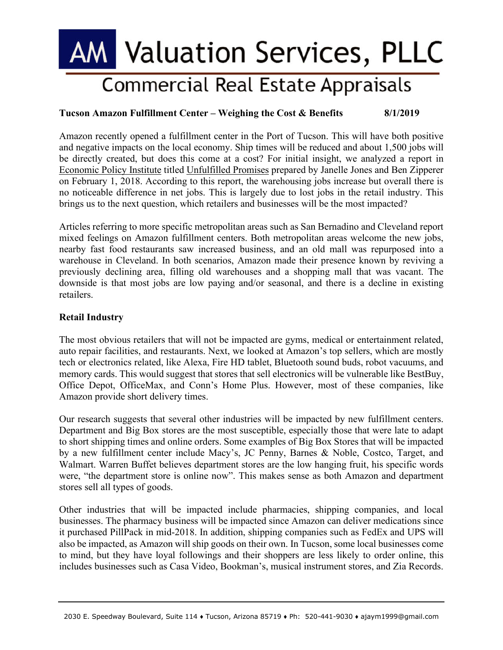# **AM Valuation Services, PLLC Commercial Real Estate Appraisals**

## **Tucson Amazon Fulfillment Center – Weighing the Cost & Benefits 8/1/2019**

Amazon recently opened a fulfillment center in the Port of Tucson. This will have both positive and negative impacts on the local economy. Ship times will be reduced and about 1,500 jobs will be directly created, but does this come at a cost? For initial insight, we analyzed a report in Economic Policy Institute titled Unfulfilled Promises prepared by Janelle Jones and Ben Zipperer on February 1, 2018. According to this report, the warehousing jobs increase but overall there is no noticeable difference in net jobs. This is largely due to lost jobs in the retail industry. This brings us to the next question, which retailers and businesses will be the most impacted?

Articles referring to more specific metropolitan areas such as San Bernadino and Cleveland report mixed feelings on Amazon fulfillment centers. Both metropolitan areas welcome the new jobs, nearby fast food restaurants saw increased business, and an old mall was repurposed into a warehouse in Cleveland. In both scenarios, Amazon made their presence known by reviving a previously declining area, filling old warehouses and a shopping mall that was vacant. The downside is that most jobs are low paying and/or seasonal, and there is a decline in existing retailers.

### **Retail Industry**

The most obvious retailers that will not be impacted are gyms, medical or entertainment related, auto repair facilities, and restaurants. Next, we looked at Amazon's top sellers, which are mostly tech or electronics related, like Alexa, Fire HD tablet, Bluetooth sound buds, robot vacuums, and memory cards. This would suggest that stores that sell electronics will be vulnerable like BestBuy, Office Depot, OfficeMax, and Conn's Home Plus. However, most of these companies, like Amazon provide short delivery times.

Our research suggests that several other industries will be impacted by new fulfillment centers. Department and Big Box stores are the most susceptible, especially those that were late to adapt to short shipping times and online orders. Some examples of Big Box Stores that will be impacted by a new fulfillment center include Macy's, JC Penny, Barnes & Noble, Costco, Target, and Walmart. Warren Buffet believes department stores are the low hanging fruit, his specific words were, "the department store is online now". This makes sense as both Amazon and department stores sell all types of goods.

Other industries that will be impacted include pharmacies, shipping companies, and local businesses. The pharmacy business will be impacted since Amazon can deliver medications since it purchased PillPack in mid-2018. In addition, shipping companies such as FedEx and UPS will also be impacted, as Amazon will ship goods on their own. In Tucson, some local businesses come to mind, but they have loyal followings and their shoppers are less likely to order online, this includes businesses such as Casa Video, Bookman's, musical instrument stores, and Zia Records.